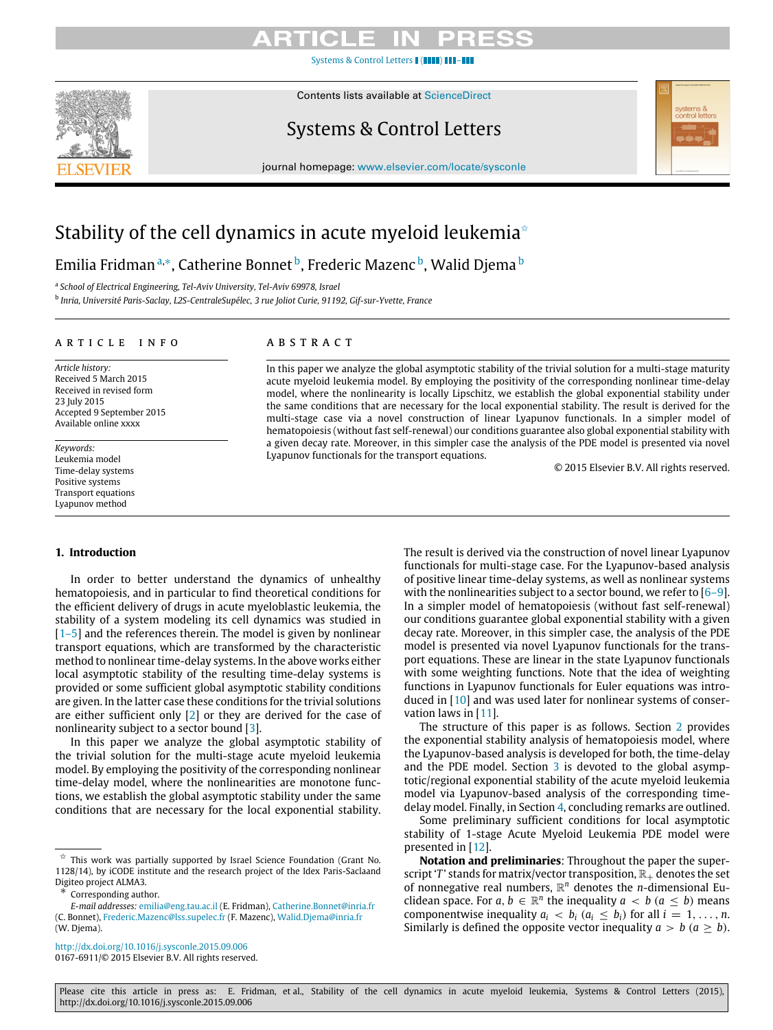# TICI E

[Systems & Control Letters](http://dx.doi.org/10.1016/j.sysconle.2015.09.006) (IIII)



Contents lists available at [ScienceDirect](http://www.elsevier.com/locate/sysconle)

# Systems & Control Letters

journal homepage: [www.elsevier.com/locate/sysconle](http://www.elsevier.com/locate/sysconle)



Emilia Fridman™, Catherine Bonnet <sup>[b](#page-0-3)</sup>, Frederic Mazenc <sup>b</sup>, Walid Djema <sup>b</sup>

<span id="page-0-1"></span>a *School of Electrical Engineering, Tel-Aviv University, Tel-Aviv 69978, Israel*

<span id="page-0-3"></span>b *Inria, Université Paris-Saclay, L2S-CentraleSupélec, 3 rue Joliot Curie, 91192, Gif-sur-Yvette, France*

### a r t i c l e i n f o

*Article history:* Received 5 March 2015 Received in revised form 23 July 2015 Accepted 9 September 2015 Available online xxxx

*Keywords:* Leukemia model Time-delay systems Positive systems Transport equations Lyapunov method

# A B S T R A C T

In this paper we analyze the global asymptotic stability of the trivial solution for a multi-stage maturity acute myeloid leukemia model. By employing the positivity of the corresponding nonlinear time-delay model, where the nonlinearity is locally Lipschitz, we establish the global exponential stability under the same conditions that are necessary for the local exponential stability. The result is derived for the multi-stage case via a novel construction of linear Lyapunov functionals. In a simpler model of hematopoiesis (without fast self-renewal) our conditions guarantee also global exponential stability with a given decay rate. Moreover, in this simpler case the analysis of the PDE model is presented via novel Lyapunov functionals for the transport equations.

© 2015 Elsevier B.V. All rights reserved.

# **1. Introduction**

In order to better understand the dynamics of unhealthy hematopoiesis, and in particular to find theoretical conditions for the efficient delivery of drugs in acute myeloblastic leukemia, the stability of a system modeling its cell dynamics was studied in  $[1–5]$  and the references therein. The model is given by nonlinear transport equations, which are transformed by the characteristic method to nonlinear time-delay systems. In the above works either local asymptotic stability of the resulting time-delay systems is provided or some sufficient global asymptotic stability conditions are given. In the latter case these conditions for the trivial solutions are either sufficient only [\[2\]](#page-9-1) or they are derived for the case of nonlinearity subject to a sector bound [\[3\]](#page-9-2).

In this paper we analyze the global asymptotic stability of the trivial solution for the multi-stage acute myeloid leukemia model. By employing the positivity of the corresponding nonlinear time-delay model, where the nonlinearities are monotone functions, we establish the global asymptotic stability under the same conditions that are necessary for the local exponential stability.

<span id="page-0-2"></span>Corresponding author.

The result is derived via the construction of novel linear Lyapunov functionals for multi-stage case. For the Lyapunov-based analysis of positive linear time-delay systems, as well as nonlinear systems with the nonlinearities subject to a sector bound, we refer to  $[6-9]$ . In a simpler model of hematopoiesis (without fast self-renewal) our conditions guarantee global exponential stability with a given decay rate. Moreover, in this simpler case, the analysis of the PDE model is presented via novel Lyapunov functionals for the transport equations. These are linear in the state Lyapunov functionals with some weighting functions. Note that the idea of weighting functions in Lyapunov functionals for Euler equations was introduced in [\[10\]](#page-9-4) and was used later for nonlinear systems of conser-vation laws in [\[11\]](#page-9-5).

The structure of this paper is as follows. Section [2](#page-1-0) provides the exponential stability analysis of hematopoiesis model, where the Lyapunov-based analysis is developed for both, the time-delay and the PDE model. Section [3](#page-4-0) is devoted to the global asymptotic/regional exponential stability of the acute myeloid leukemia model via Lyapunov-based analysis of the corresponding timedelay model. Finally, in Section [4,](#page-8-0) concluding remarks are outlined.

Some preliminary sufficient conditions for local asymptotic stability of 1-stage Acute Myeloid Leukemia PDE model were presented in [\[12\]](#page-9-6).

**Notation and preliminaries**: Throughout the paper the superscript '*T*' stands for matrix/vector transposition,  $\mathbb{R}_+$  denotes the set of nonnegative real numbers,  $\mathbb{R}^n$  denotes the *n*-dimensional Euclidean space. For  $a, b \in \mathbb{R}^n$  the inequality  $a < b$  ( $a \le b$ ) means componentwise inequality  $a_i \leq b_i$  ( $a_i \leq b_i$ ) for all  $i = 1, \ldots, n$ . Similarly is defined the opposite vector inequality  $a > b$  ( $a \ge b$ ).

<span id="page-0-0"></span><sup>✩</sup> This work was partially supported by Israel Science Foundation (Grant No. 1128/14), by iCODE institute and the research project of the Idex Paris-Saclaand Digiteo project ALMA3.

*E-mail addresses:* [emilia@eng.tau.ac.il](mailto:emilia@eng.tau.ac.il) (E. Fridman), [Catherine.Bonnet@inria.fr](mailto:Catherine.Bonnet@inria.fr) (C. Bonnet), [Frederic.Mazenc@lss.supelec.fr](mailto:Frederic.Mazenc@lss.supelec.fr) (F. Mazenc), [Walid.Djema@inria.fr](mailto:Walid.Djema@inria.fr) (W. Djema).

<http://dx.doi.org/10.1016/j.sysconle.2015.09.006> 0167-6911/© 2015 Elsevier B.V. All rights reserved.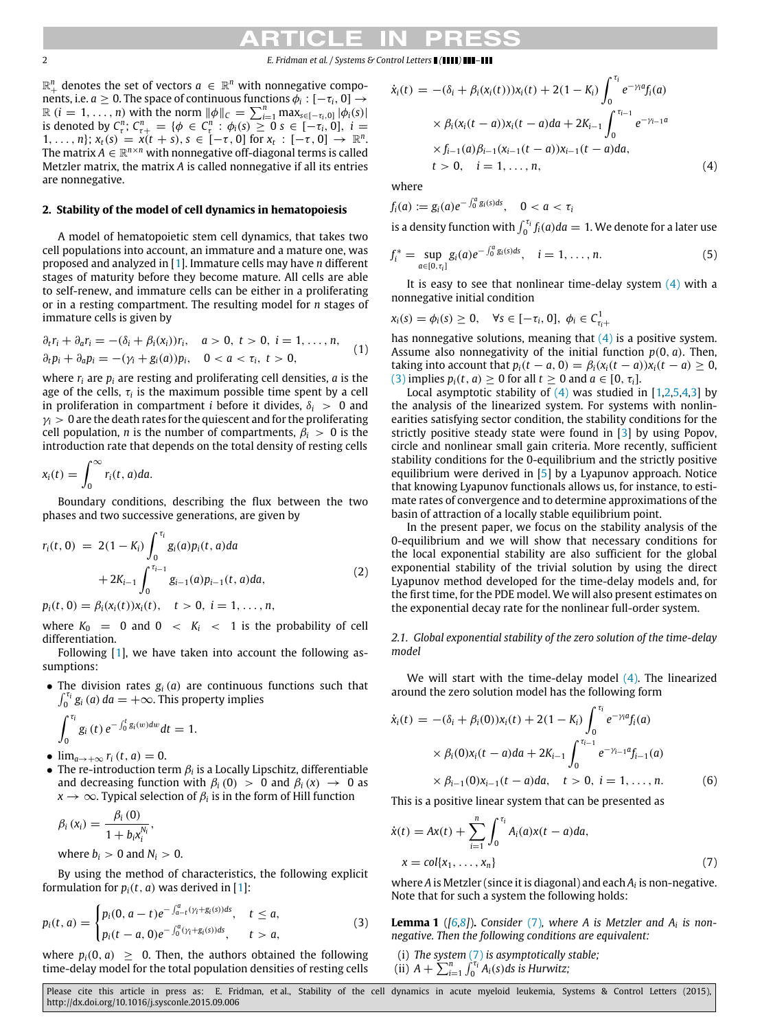$\mathbb{R}^n_+$  denotes the set of vectors  $a \in \mathbb{R}^n$  with nonnegative components, i.e.  $a\geq 0$ . The space of continuous functions  $\phi_i:[-\tau_i,0]\to\mathbb{R}$  $\mathbb{R}$  (*i* = 1, ..., *n*) with the norm  $\|\phi\|_{C} = \sum_{i=1}^{n} \max_{s \in [-\tau_i, 0]} |\phi_i(s)|$ is denoted by  $C_{\tau}^n$ ;  $C_{\tau+}^n = {\phi \in C_{\tau}^n : \phi_i(s) \ge 0 \text{ s } \in [-\tau_i, 0], i =$ 1, ..., *n*};  $x_t(s) = x(t + s)$ ,  $s \in [-\tau, 0]$  for  $x_t : [-\tau, 0] \to \mathbb{R}^n$ . The matrix  $A \in \mathbb{R}^{n \times n}$  with nonnegative off-diagonal terms is called Metzler matrix, the matrix *A* is called nonnegative if all its entries are nonnegative.

### <span id="page-1-0"></span>**2. Stability of the model of cell dynamics in hematopoiesis**

A model of hematopoietic stem cell dynamics, that takes two cell populations into account, an immature and a mature one, was proposed and analyzed in [\[1\]](#page-9-0). Immature cells may have *n* different stages of maturity before they become mature. All cells are able to self-renew, and immature cells can be either in a proliferating or in a resting compartment. The resulting model for *n* stages of immature cells is given by

$$
\partial_t r_i + \partial_a r_i = -(\delta_i + \beta_i(x_i))r_i, \quad a > 0, \ t > 0, \ i = 1, ..., n,
$$
  

$$
\partial_t p_i + \partial_a p_i = -(\gamma_i + g_i(a))p_i, \quad 0 < a < \tau_i, \ t > 0,
$$
 (1)

where  $r_i$  are  $p_i$  are resting and proliferating cell densities,  $a$  is the age of the cells,  $\tau_i$  is the maximum possible time spent by a cell in proliferation in compartment *i* before it divides,  $\delta_i > 0$  and  $\gamma_i > 0$  are the death rates for the quiescent and for the proliferating cell population, *n* is the number of compartments,  $\beta_i > 0$  is the introduction rate that depends on the total density of resting cells

$$
x_i(t) = \int_0^\infty r_i(t, a) da.
$$

Boundary conditions, describing the flux between the two phases and two successive generations, are given by

$$
r_i(t, 0) = 2(1 - K_i) \int_0^{\tau_i} g_i(a) p_i(t, a) da
$$
  
+ 2K\_{i-1} \int\_0^{\tau\_{i-1}} g\_{i-1}(a) p\_{i-1}(t, a) da, (2)

 $p_i(t, 0) = \beta_i(x_i(t))x_i(t), \quad t > 0, \ i = 1, \ldots, n,$ 

where  $K_0 = 0$  and  $0 < K_i < 1$  is the probability of cell differentiation.

Following [\[1\]](#page-9-0), we have taken into account the following assumptions:

• The division rates  $g_i(a)$  are continuous functions such that  $\int_0^{\tau_i} g_i(a) da = +\infty$ . This property implies

$$
\int_0^{\tau_i} g_i(t) e^{-\int_0^t g_i(w)dw} dt = 1.
$$

•  $\lim_{a\to+\infty}r_i(t,a)=0.$ 

• The re-introduction term  $\beta_i$  is a Locally Lipschitz, differentiable and decreasing function with  $\beta_i(0) > 0$  and  $\beta_i(x) \rightarrow 0$  as  $x \to \infty$ . Typical selection of  $\beta_i$  is in the form of Hill function

$$
\beta_i(x_i) = \frac{\beta_i(0)}{1 + b_i x_i^{N_i}},
$$

where 
$$
b_i > 0
$$
 and  $N_i > 0$ .

By using the method of characteristics, the following explicit formulation for  $p_i(t, a)$  was derived in [\[1\]](#page-9-0):

$$
p_i(t, a) = \begin{cases} p_i(0, a-t)e^{-\int_{a-t}^{a} (\gamma_i + g_i(s))ds}, & t \le a, \\ p_i(t-a, 0)e^{-\int_{0}^{a} (\gamma_i + g_i(s))ds}, & t > a, \end{cases}
$$
(3)

where  $p_i(0, a) \geq 0$ . Then, the authors obtained the following time-delay model for the total population densities of resting cells

$$
\dot{x}_i(t) = -(\delta_i + \beta_i(x_i(t)))x_i(t) + 2(1 - K_i) \int_0^{\tau_i} e^{-\gamma_i a} f_i(a)
$$
  
\n
$$
\times \beta_i(x_i(t-a))x_i(t-a)da + 2K_{i-1} \int_0^{\tau_{i-1}} e^{-\gamma_{i-1} a}
$$
  
\n
$$
\times f_{i-1}(a)\beta_{i-1}(x_{i-1}(t-a))x_{i-1}(t-a)da,
$$
  
\n
$$
t > 0, \quad i = 1, ..., n,
$$
\n(4)

<span id="page-1-1"></span>where

$$
f_i(a) := g_i(a)e^{-\int_0^a g_i(s)ds}
$$
, 0 < a <  $\tau_i$ 

is a density function with  $\int_0^{\tau_i} f_i(a)da = 1$ . We denote for a later use

$$
f_i^* = \sup_{a \in [0, \tau_i]} g_i(a) e^{-\int_0^a g_i(s) ds}, \quad i = 1, \dots, n.
$$
 (5)

It is easy to see that nonlinear time-delay system  $(4)$  with a nonnegative initial condition

 $x_i(s) = \phi_i(s) \geq 0, \quad \forall s \in [-\tau_i, 0], \ \phi_i \in C^1_{\tau_i^+}$ 

<span id="page-1-4"></span>has nonnegative solutions, meaning that  $(4)$  is a positive system. Assume also nonnegativity of the initial function  $p(0, a)$ . Then, taking into account that  $p_i(t - a, 0) = \beta_i(x_i(t - a))x_i(t - a) \geq 0$ , [\(3\)](#page-1-2) implies  $p_i(t, a) \ge 0$  for all  $t \ge 0$  and  $a \in [0, \tau_i]$ .

Local asymptotic stability of  $(4)$  was studied in  $[1,2,5,4,3]$  $[1,2,5,4,3]$  $[1,2,5,4,3]$  $[1,2,5,4,3]$  $[1,2,5,4,3]$  by the analysis of the linearized system. For systems with nonlinearities satisfying sector condition, the stability conditions for the strictly positive steady state were found in [\[3\]](#page-9-2) by using Popov, circle and nonlinear small gain criteria. More recently, sufficient stability conditions for the 0-equilibrium and the strictly positive equilibrium were derived in [\[5\]](#page-9-7) by a Lyapunov approach. Notice that knowing Lyapunov functionals allows us, for instance, to estimate rates of convergence and to determine approximations of the basin of attraction of a locally stable equilibrium point.

<span id="page-1-5"></span>In the present paper, we focus on the stability analysis of the 0-equilibrium and we will show that necessary conditions for the local exponential stability are also sufficient for the global exponential stability of the trivial solution by using the direct Lyapunov method developed for the time-delay models and, for the first time, for the PDE model. We will also present estimates on the exponential decay rate for the nonlinear full-order system.

*2.1. Global exponential stability of the zero solution of the time-delay model*

We will start with the time-delay model [\(4\).](#page-1-1) The linearized around the zero solution model has the following form

$$
\dot{x}_i(t) = -(\delta_i + \beta_i(0))x_i(t) + 2(1 - K_i) \int_0^{\tau_i} e^{-\gamma_i a} f_i(a)
$$
  
 
$$
\times \beta_i(0)x_i(t - a)da + 2K_{i-1} \int_0^{\tau_{i-1}} e^{-\gamma_{i-1} a} f_{i-1}(a)
$$
  
 
$$
\times \beta_{i-1}(0)x_{i-1}(t - a)da, \quad t > 0, \ i = 1, ..., n. \tag{6}
$$

This is a positive linear system that can be presented as

<span id="page-1-3"></span>
$$
\dot{x}(t) = Ax(t) + \sum_{i=1}^{n} \int_{0}^{\tau_{i}} A_{i}(a)x(t-a)da,
$$
  

$$
x = col\{x_{1}, ..., x_{n}\}
$$
 (7)

where *A* is Metzler (since it is diagonal) and each *A<sup>i</sup>* is non-negative. Note that for such a system the following holds:

<span id="page-1-6"></span><span id="page-1-2"></span>**Lemma 1** (*[\[6,](#page-9-3)[8\]](#page-9-9)*)**.** *Consider* [\(7\)](#page-1-3)*, where A is Metzler and A<sup>i</sup> is nonnegative. Then the following conditions are equivalent:*

(i) *The system* [\(7\)](#page-1-3) *is asymptotically stable;* (ii)  $A + \sum_{i=1}^{n} \int_{0}^{\tau_i} A_i(s) ds$  is Hurwitz;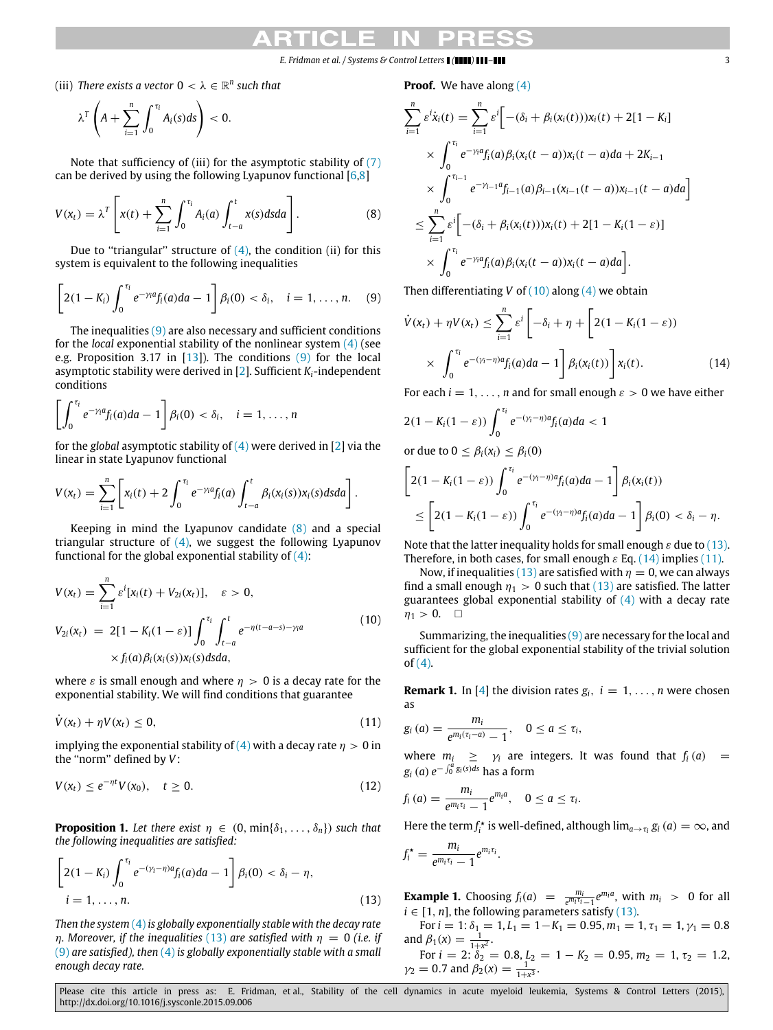(iii) *There exists a vector*  $0 < \lambda \in \mathbb{R}^n$  *such that* 

$$
\lambda^T\left(A+\sum_{i=1}^n\int_0^{\tau_i}A_i(s)ds\right)<0.
$$

Note that sufficiency of (iii) for the asymptotic stability of  $(7)$ can be derived by using the following Lyapunov functional  $[6,8]$  $[6,8]$ 

$$
V(x_t) = \lambda^T \left[ x(t) + \sum_{i=1}^n \int_0^{\tau_i} A_i(a) \int_{t-a}^t x(s) ds da \right].
$$
 (8)

Due to "triangular" structure of  $(4)$ , the condition (ii) for this system is equivalent to the following inequalities

$$
\[2(1-K_i)\int_0^{\tau_i}e^{-\gamma_i a}f_i(a)da-1\]\beta_i(0)<\delta_i,\quad i=1,\ldots,n.\quad (9)
$$

The inequalities [\(9\)](#page-2-0) are also necessary and sufficient conditions for the *local* exponential stability of the nonlinear system [\(4\)](#page-1-1) (see e.g. Proposition 3.17 in [\[13\]](#page-9-10)). The conditions [\(9\)](#page-2-0) for the local asymptotic stability were derived in [\[2\]](#page-9-1). Sufficient *Ki*-independent conditions

$$
\left[\int_0^{\tau_i} e^{-\gamma_i a} f_i(a) da - 1\right] \beta_i(0) < \delta_i, \quad i = 1, \ldots, n
$$

for the *global* asymptotic stability of [\(4\)](#page-1-1) were derived in [\[2\]](#page-9-1) via the linear in state Lyapunov functional

$$
V(x_t)=\sum_{i=1}^n\left[x_i(t)+2\int_0^{\tau_i}e^{-\gamma_i a}f_i(a)\int_{t-a}^t\beta_i(x_i(s))x_i(s)dsda\right].
$$

Keeping in mind the Lyapunov candidate  $(8)$  and a special triangular structure of  $(4)$ , we suggest the following Lyapunov functional for the global exponential stability of  $(4)$ :

$$
V(x_t) = \sum_{i=1}^{n} \varepsilon^{i} [x_i(t) + V_{2i}(x_t)], \quad \varepsilon > 0,
$$
  

$$
V_{2i}(x_t) = 2[1 - K_i(1 - \varepsilon)] \int_0^{\tau_i} \int_{t-a}^t e^{-\eta(t-a-s) - \gamma_i a} \times f_i(a) \beta_i(x_i(s)) x_i(s) ds da,
$$
 (10)

where  $\varepsilon$  is small enough and where  $\eta > 0$  is a decay rate for the exponential stability. We will find conditions that guarantee

$$
\dot{V}(x_t) + \eta V(x_t) \leq 0, \qquad (11)
$$

implying the exponential stability of [\(4\)](#page-1-1) with a decay rate  $\eta > 0$  in the ''norm'' defined by *V*:

$$
V(x_t) \leq e^{-\eta t} V(x_0), \quad t \geq 0. \tag{12}
$$

<span id="page-2-7"></span>**Proposition 1.** Let there exist  $\eta \in (0, \min\{\delta_1, \ldots, \delta_n\})$  such that *the following inequalities are satisfied:*

$$
\[2(1-K_i)\int_0^{\tau_i}e^{-(\gamma_i-\eta)a}f_i(a)da-1\] \beta_i(0) < \delta_i - \eta,
$$
  
\n $i = 1,...,n.$  (13)

*Then the system* [\(4\)](#page-1-1)*is globally exponentially stable with the decay rate n*. Moreover, if the inequalities [\(13\)](#page-2-2) are satisfied with  $\eta = 0$  (i.e. if [\(9\)](#page-2-0) *are satisfied), then* [\(4\)](#page-1-1) *is globally exponentially stable with a small enough decay rate.*

**Proof.** We have along [\(4\)](#page-1-1)

<span id="page-2-1"></span>
$$
\sum_{i=1}^{n} \varepsilon^{i} \dot{x}_{i}(t) = \sum_{i=1}^{n} \varepsilon^{i} \Big[ -(\delta_{i} + \beta_{i}(x_{i}(t))) x_{i}(t) + 2[1 - K_{i}]
$$
\n
$$
\times \int_{0}^{\tau_{i}} e^{-\gamma_{i} a} f_{i}(a) \beta_{i}(x_{i}(t - a)) x_{i}(t - a) da + 2K_{i-1}
$$
\n
$$
\times \int_{0}^{\tau_{i-1}} e^{-\gamma_{i-1} a} f_{i-1}(a) \beta_{i-1}(x_{i-1}(t - a)) x_{i-1}(t - a) da \Big]
$$
\n
$$
\leq \sum_{i=1}^{n} \varepsilon^{i} \Big[ -(\delta_{i} + \beta_{i}(x_{i}(t))) x_{i}(t) + 2[1 - K_{i}(1 - \varepsilon)]
$$
\n
$$
\times \int_{0}^{\tau_{i}} e^{-\gamma_{i} a} f_{i}(a) \beta_{i}(x_{i}(t - a)) x_{i}(t - a) da \Big].
$$

<span id="page-2-0"></span>Then differentiating *V* of  $(10)$  along  $(4)$  we obtain

<span id="page-2-4"></span>
$$
\dot{V}(x_t) + \eta V(x_t) \le \sum_{i=1}^n \varepsilon^i \left[ -\delta_i + \eta + \left[ 2(1 - K_i(1 - \varepsilon)) \right. \right. \times \int_0^{\tau_i} e^{-(\gamma_i - \eta)a} f_i(a) da - 1 \left[ \beta_i(x_i(t)) \right] x_i(t).
$$
\n(14)

For each  $i = 1, \ldots, n$  and for small enough  $\varepsilon > 0$  we have either

$$
2(1-K_i(1-\varepsilon))\int_0^{\tau_i}e^{-(\gamma_i-\eta)a}f_i(a)da<1
$$

or due to  $0 \leq \beta_i(x_i) \leq \beta_i(0)$ 

$$
\begin{aligned} &\left[2(1-K_i(1-\varepsilon))\int_0^{\tau_i}e^{-(\gamma_i-\eta)a}f_i(a)da-1\right]\beta_i(x_i(t))\\ &\leq \left[2(1-K_i(1-\varepsilon))\int_0^{\tau_i}e^{-(\gamma_i-\eta)a}f_i(a)da-1\right]\beta_i(0)<\delta_i-\eta. \end{aligned}
$$

Note that the latter inequality holds for small enough  $\varepsilon$  due to [\(13\).](#page-2-2) Therefore, in both cases, for small enough  $\varepsilon$  Eq. [\(14\)](#page-2-4) implies [\(11\).](#page-2-5)

<span id="page-2-3"></span>Now, if inequalities [\(13\)](#page-2-2) are satisfied with  $\eta = 0$ , we can always find a small enough  $\eta_1 > 0$  such that [\(13\)](#page-2-2) are satisfied. The latter guarantees global exponential stability of  $(4)$  with a decay rate  $\eta_1 > 0.$   $\Box$ 

Summarizing, the inequalities  $(9)$  are necessary for the local and sufficient for the global exponential stability of the trivial solution of [\(4\).](#page-1-1)

**Remark 1.** In [\[4\]](#page-9-8) the division rates  $g_i$ ,  $i = 1, \ldots, n$  were chosen as

<span id="page-2-5"></span>
$$
g_{i}\left(a\right)=\frac{m_{i}}{e^{m_{i}\left(\tau_{i}-a\right)}-1},\quad 0\leq a\leq\tau_{i},
$$

where  $m_i \geq \gamma_i$  are integers. It was found that  $f_i(a) =$  $g_i$  (*a*)  $e^{-\int_0^a g_i(s)ds}$  has a form

$$
f_i(a)=\frac{m_i}{e^{m_i\tau_i}-1}e^{m_ia},\quad 0\leq a\leq \tau_i.
$$

Here the term  $f_i^*$  is well-defined, although  $\lim_{a\to\tau_i} g_i(a) = \infty$ , and

$$
f_i^* = \frac{m_i}{e^{m_i \tau_i} - 1} e^{m_i \tau_i}.
$$

<span id="page-2-6"></span><span id="page-2-2"></span>**Example 1.** Choosing  $f_i(a) = \frac{m_i}{e^{m_i \tau_i} - 1} e^{m_i a}$ , with  $m_i > 0$  for all  $i \in [1, n]$ , the following parameters satisfy  $(13)$ .

For  $i = 1$ :  $\delta_1 = 1$ ,  $L_1 = 1 - K_1 = 0.95$ ,  $m_1 = 1$ ,  $\tau_1 = 1$ ,  $\gamma_1 = 0.8$ and  $\beta_1(x) = \frac{1}{1+x^2}$ .

For 
$$
i = 2
$$
:  $\delta_2 = 0.8$ ,  $L_2 = 1 - K_2 = 0.95$ ,  $m_2 = 1$ ,  $\tau_2 = 1.2$ ,  $\gamma_2 = 0.7$  and  $\beta_2(x) = \frac{1}{1+x^3}$ .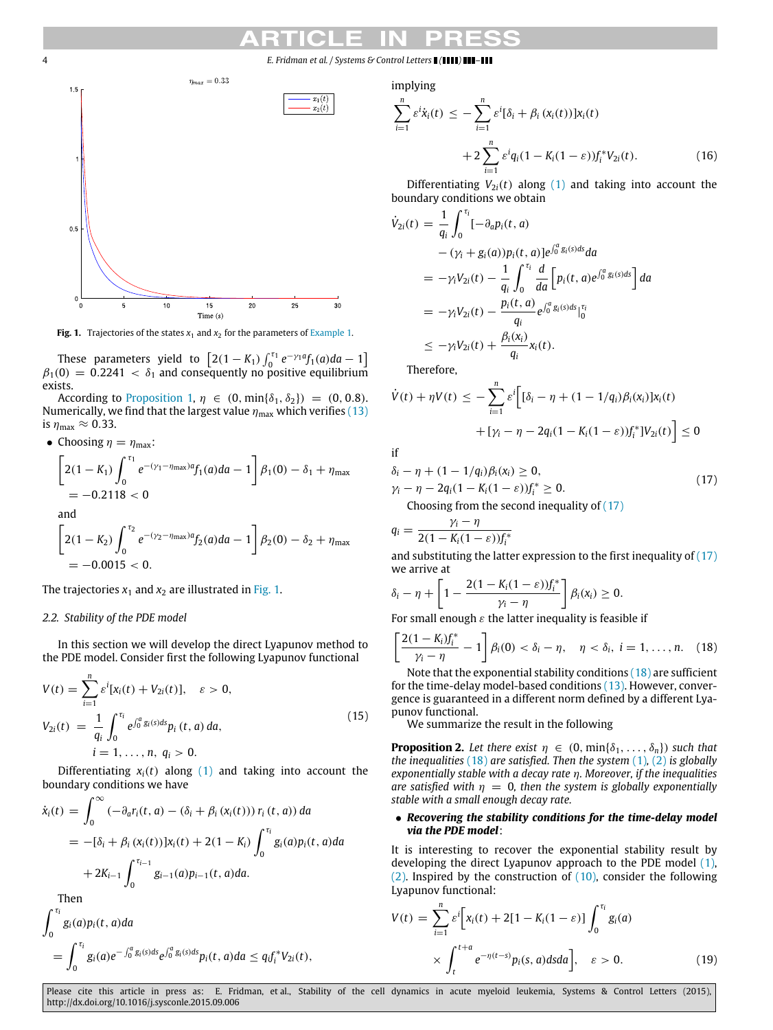*V*˙

4 *E. Fridman et al. / Systems & Control Letters ( ) –*

<span id="page-3-0"></span>

**Fig. 1.** Trajectories of the states  $x_1$  and  $x_2$  for the parameters of [Example 1.](#page-2-6)

These parameters yield to  $\left[2(1 - K_1)\int_0^{\tau_1} e^{-\gamma_1 a} f_1(a) da - 1\right]$  $\beta_1(0) = 0.2241 < \delta_1$  and consequently no positive equilibrium exists.

According to [Proposition 1,](#page-2-7)  $\eta \in (0, \min\{\delta_1, \delta_2\}) = (0, 0.8)$ . Numerically, we find that the largest value  $\eta_{\text{max}}$  which verifies [\(13\)](#page-2-2) is  $\eta_{\text{max}} \approx 0.33$ .

• Choosing  $\eta = \eta_{\text{max}}$ :

$$
\[2(1-K_1)\int_0^{\tau_1}e^{-(\gamma_1-\eta_{\text{max}})a}f_1(a)da - 1\] \beta_1(0) - \delta_1 + \eta_{\text{max}}\]
$$
  
= -0.2118 < 0

and

$$
\[2(1-K_2)\int_0^{\tau_2} e^{-(\gamma_2-\eta_{\text{max}})a} f_2(a)da - 1\] \beta_2(0) - \delta_2 + \eta_{\text{max}} = -0.0015 < 0.
$$

The trajectories  $x_1$  and  $x_2$  are illustrated in [Fig. 1.](#page-3-0)

# *2.2. Stability of the PDE model*

In this section we will develop the direct Lyapunov method to the PDE model. Consider first the following Lyapunov functional

$$
V(t) = \sum_{i=1}^{n} \varepsilon^{i} [x_{i}(t) + V_{2i}(t)], \quad \varepsilon > 0,
$$
  
\n
$$
V_{2i}(t) = \frac{1}{q_{i}} \int_{0}^{\tau_{i}} e^{\int_{0}^{a} g_{i}(s) ds} p_{i}(t, a) da,
$$
  
\n $i = 1, ..., n, q_{i} > 0.$  (15)

Differentiating  $x_i(t)$  along [\(1\)](#page-1-4) and taking into account the boundary conditions we have

$$
\dot{x}_i(t) = \int_0^\infty \left( -\partial_a r_i(t, a) - (\delta_i + \beta_i (x_i(t))) r_i(t, a) \right) da
$$
  
\n
$$
= -[\delta_i + \beta_i (x_i(t))] x_i(t) + 2(1 - K_i) \int_0^{\tau_i} g_i(a) p_i(t, a) da
$$
  
\n
$$
+ 2K_{i-1} \int_0^{\tau_{i-1}} g_{i-1}(a) p_{i-1}(t, a) da.
$$
  
\nThen  
\n
$$
\int_0^{\tau_i} g_i(a) p_i(t, a) da
$$

$$
= \int_0^{\tau_i} g_i(a) e^{-\int_0^a g_i(s)ds} e^{\int_0^a g_i(s)ds} p_i(t,a) da \leq q_i f_i^* V_{2i}(t),
$$

implying

$$
\sum_{i=1}^{n} \varepsilon^{i} \dot{x}_{i}(t) \leq -\sum_{i=1}^{n} \varepsilon^{i} [\delta_{i} + \beta_{i} (x_{i}(t))] x_{i}(t) + 2 \sum_{i=1}^{n} \varepsilon^{i} q_{i} (1 - K_{i}(1 - \varepsilon)) f_{i}^{*} V_{2i}(t).
$$
 (16)

Differentiating  $V_{2i}(t)$  along  $(1)$  and taking into account the boundary conditions we obtain

$$
V_{2i}(t) = \frac{1}{q_i} \int_0^{\tau_i} [-\partial_a p_i(t, a) - (\gamma_i + g_i(a)) p_i(t, a)] e^{\int_0^a g_i(s) ds} da
$$
  
\n
$$
= -\gamma_i V_{2i}(t) - \frac{1}{q_i} \int_0^{\tau_i} \frac{d}{da} \left[ p_i(t, a) e^{\int_0^a g_i(s) ds} \right] da
$$
  
\n
$$
= -\gamma_i V_{2i}(t) - \frac{p_i(t, a)}{q_i} e^{\int_0^a g_i(s) ds} \Big|_0^{\tau_i}
$$
  
\n
$$
\leq -\gamma_i V_{2i}(t) + \frac{\beta_i(x_i)}{q_i} x_i(t).
$$

Therefore,

$$
\dot{V}(t) + \eta V(t) \le -\sum_{i=1}^{n} \varepsilon^{i} \Big[ [\delta_{i} - \eta + (1 - 1/q_{i})\beta_{i}(x_{i})]x_{i}(t) + [\gamma_{i} - \eta - 2q_{i}(1 - K_{i}(1 - \varepsilon))f_{i}^{*}]V_{2i}(t) \Big] \le 0
$$

<span id="page-3-1"></span>if

$$
\delta_i - \eta + (1 - 1/q_i)\beta_i(x_i) \ge 0,
$$
  
\n
$$
\gamma_i - \eta - 2q_i(1 - K_i(1 - \varepsilon))f_i^* \ge 0.
$$
  
\nChoosing from the second inequality of (17)  
\n
$$
q_i = \frac{\gamma_i - \eta}{\gamma_i}
$$
 (17)

$$
q_i = \frac{1}{2(1 - K_i(1 - \varepsilon))f_i^*}
$$

and substituting the latter expression to the first inequality of  $(17)$ we arrive at

$$
\delta_i-\eta+\left[1-\frac{2(1-K_i(1-\varepsilon))f_i^*}{\gamma_i-\eta}\right]\beta_i(x_i)\geq 0.
$$

For small enough  $\varepsilon$  the latter inequality is feasible if

<span id="page-3-2"></span>
$$
\left[\frac{2(1-K_i)f_i^*}{\gamma_i-\eta}-1\right]\beta_i(0)<\delta_i-\eta,\quad \eta<\delta_i,\ i=1,\ldots,n.\quad (18)
$$

Note that the exponential stability conditions [\(18\)](#page-3-2) are sufficient for the time-delay model-based conditions [\(13\).](#page-2-2) However, convergence is guaranteed in a different norm defined by a different Lyapunov functional.

We summarize the result in the following

**Proposition 2.** Let there exist  $\eta \in (0, \min{\{\delta_1, \ldots, \delta_n\}})$  such that *the inequalities* [\(18\)](#page-3-2) *are satisfied. Then the system* [\(1\)](#page-1-4)*,* [\(2\)](#page-1-5) *is globally exponentially stable with a decay rate* η*. Moreover, if the inequalities are satisfied with*  $\eta = 0$ , then the system is globally exponentially *stable with a small enough decay rate.*

# • *Recovering the stability conditions for the time-delay model via the PDE model*:

It is interesting to recover the exponential stability result by developing the direct Lyapunov approach to the PDE model [\(1\),](#page-1-4) [\(2\).](#page-1-5) Inspired by the construction of [\(10\),](#page-2-3) consider the following Lyapunov functional:

<span id="page-3-3"></span>
$$
V(t) = \sum_{i=1}^{n} \varepsilon^{i} \Big[ x_{i}(t) + 2[1 - K_{i}(1 - \varepsilon)] \int_{0}^{\tau_{i}} g_{i}(a)
$$
  
 
$$
\times \int_{t}^{t+a} e^{-\eta(t-s)} p_{i}(s, a) ds da \Big], \quad \varepsilon > 0.
$$
 (19)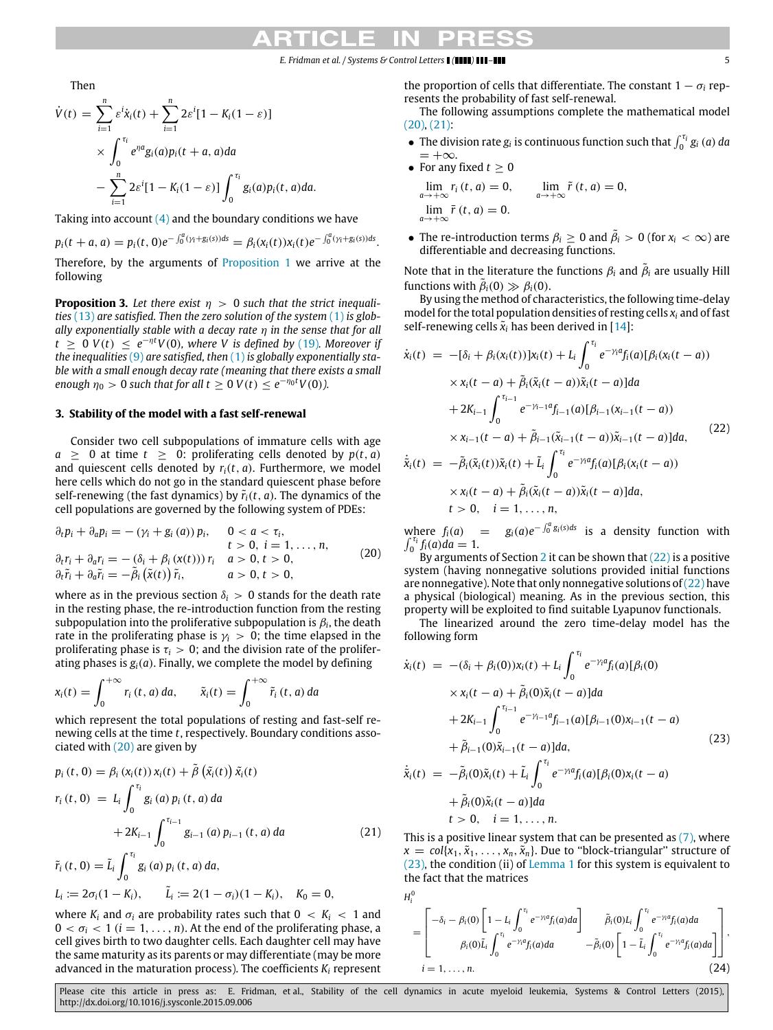Then

$$
\dot{V}(t) = \sum_{i=1}^{n} \varepsilon^{i} \dot{x}_{i}(t) + \sum_{i=1}^{n} 2\varepsilon^{i} [1 - K_{i}(1 - \varepsilon)]
$$
  
 
$$
\times \int_{0}^{\tau_{i}} e^{\eta a} g_{i}(a) p_{i}(t + a, a) da
$$
  
 
$$
- \sum_{i=1}^{n} 2\varepsilon^{i} [1 - K_{i}(1 - \varepsilon)] \int_{0}^{\tau_{i}} g_{i}(a) p_{i}(t, a) da.
$$

Taking into account  $(4)$  and the boundary conditions we have

 $p_i(t + a, a) = p_i(t, 0)e^{-\int_0^a (\gamma_i + g_i(s))ds} = \beta_i(x_i(t))x_i(t)e^{-\int_0^a (\gamma_i + g_i(s))ds}.$ 

Therefore, by the arguments of [Proposition 1](#page-2-7) we arrive at the following

**Proposition 3.** Let there exist  $\eta > 0$  such that the strict inequali*ties* [\(13\)](#page-2-2) *are satisfied. Then the zero solution of the system* [\(1\)](#page-1-4) *is globally exponentially stable with a decay rate* η *in the sense that for all*  $t \geq 0$   $V(t) \leq e^{-\eta t} V(0)$ *, where V* is defined by [\(19\)](#page-3-3). Moreover if *the inequalities* [\(9\)](#page-2-0) *are satisfied, then* [\(1\)](#page-1-4) *is globally exponentially stable with a small enough decay rate (meaning that there exists a small enough*  $\eta_0 > 0$  *such that for all t*  $\geq 0$  *V*(*t*)  $\leq e^{-\eta_0 t}$ *V*(0)).

### <span id="page-4-0"></span>**3. Stability of the model with a fast self-renewal**

Consider two cell subpopulations of immature cells with age  $a \geq 0$  at time  $t \geq 0$ : proliferating cells denoted by  $p(t, a)$ and quiescent cells denoted by  $r_i(t, a)$ . Furthermore, we model here cells which do not go in the standard quiescent phase before self-renewing (the fast dynamics) by  $\tilde{r}_i(t, a)$ . The dynamics of the cell populations are governed by the following system of PDEs:

$$
\partial_{t}p_{i} + \partial_{a}p_{i} = -(\gamma_{i} + g_{i}(a)) p_{i}, \quad 0 < a < \tau_{i}, \n t > 0, i = 1, ..., n, \n\partial_{t}r_{i} + \partial_{a}r_{i} = -(\delta_{i} + \beta_{i}(x(t))) r_{i} \quad a > 0, t > 0, \n\partial_{t}\tilde{r}_{i} + \partial_{a}\tilde{r}_{i} = -\tilde{\beta}_{i}(\tilde{x}(t)) \tilde{r}_{i}, \quad a > 0, t > 0,
$$
\n(20)

where as in the previous section  $\delta_i > 0$  stands for the death rate in the resting phase, the re-introduction function from the resting subpopulation into the proliferative subpopulation is  $\beta_i$ , the death rate in the proliferating phase is  $\gamma_i > 0$ ; the time elapsed in the proliferating phase is  $\tau_i > 0$ ; and the division rate of the proliferating phases is  $g_i(a)$ . Finally, we complete the model by defining

$$
x_i(t) = \int_0^{+\infty} r_i(t, a) da, \qquad \tilde{x}_i(t) = \int_0^{+\infty} \tilde{r}_i(t, a) da
$$

which represent the total populations of resting and fast-self renewing cells at the time *t*, respectively. Boundary conditions associated with [\(20\)](#page-4-1) are given by

$$
p_i(t, 0) = \beta_i (x_i(t)) x_i(t) + \tilde{\beta} (\tilde{x}_i(t)) \tilde{x}_i(t)
$$
  
\n
$$
r_i(t, 0) = L_i \int_0^{\tau_i} g_i(a) p_i(t, a) da
$$
  
\n
$$
+ 2K_{i-1} \int_0^{\tau_{i-1}} g_{i-1}(a) p_{i-1}(t, a) da
$$
\n(21)

$$
\tilde{r}_i(t, 0) = \tilde{L}_i \int_0^{\infty} g_i(a) p_i(t, a) da,
$$
  
\n
$$
L_i := 2\sigma_i(1 - K_i), \qquad \tilde{L}_i := 2(1 - \sigma_i)(1 - K_i), \quad K_0 = 0,
$$

where  $K_i$  and  $\sigma_i$  are probability rates such that  $0 \lt K_i \lt 1$  and  $0 < \sigma_i < 1$  ( $i = 1, \ldots, n$ ). At the end of the proliferating phase, a cell gives birth to two daughter cells. Each daughter cell may have the same maturity as its parents or may differentiate (may be more advanced in the maturation process). The coefficients *K<sup>i</sup>* represent the proportion of cells that differentiate. The constant  $1 - \sigma_i$  represents the probability of fast self-renewal.

The following assumptions complete the mathematical model  $(20)$ ,  $(21)$ ;

• The division rate  $g_i$  is continuous function such that  $\int_0^{\tau_i} g_i(a) da$  $= +\infty$ . • For any fixed  $t > 0$ 

$$
\lim_{a \to +\infty} r_i(t, a) = 0, \qquad \lim_{a \to +\infty} \tilde{r}(t, a) = 0,
$$
  

$$
\lim_{a \to +\infty} \bar{r}(t, a) = 0.
$$

• The re-introduction terms  $\beta_i \geq 0$  and  $\tilde{\beta}_i > 0$  (for  $x_i < \infty$ ) are differentiable and decreasing functions.

Note that in the literature the functions  $\beta_i$  and  $\tilde{\beta}_i$  are usually Hill functions with  $\tilde{\beta}_i(0) \gg \beta_i(0)$ .

<span id="page-4-3"></span>By using the method of characteristics, the following time-delay model for the total population densities of resting cells *x<sup>i</sup>* and of fast self-renewing cells  $\tilde{x}_i$  has been derived in [\[14\]](#page-9-11):

$$
\dot{x}_i(t) = -[\delta_i + \beta_i(x_i(t))]x_i(t) + L_i \int_0^{\tau_i} e^{-\gamma_i a} f_i(a) [\beta_i(x_i(t-a))
$$
  
\n
$$
\times x_i(t-a) + \tilde{\beta}_i(\tilde{x}_i(t-a))\tilde{x}_i(t-a)]da
$$
  
\n
$$
+ 2K_{i-1} \int_0^{\tau_{i-1}} e^{-\gamma_{i-1} a} f_{i-1}(a) [\beta_{i-1}(x_{i-1}(t-a))]
$$
  
\n
$$
\times x_{i-1}(t-a) + \tilde{\beta}_{i-1}(\tilde{x}_{i-1}(t-a))\tilde{x}_{i-1}(t-a)]da,
$$
  
\n
$$
\dot{\tilde{x}}_i(t) = -\tilde{\beta}_i(\tilde{x}_i(t))\tilde{x}_i(t) + \tilde{L}_i \int_0^{\tau_i} e^{-\gamma_i a} f_i(a) [\beta_i(x_i(t-a))]
$$
\n(22)

$$
\times x_i(t-a) + \tilde{\beta}_i(\tilde{x}_i(t-a))\tilde{x}_i(t-a)]da,
$$
  
\n
$$
t > 0, \quad i = 1, ..., n,
$$

<span id="page-4-1"></span>where  $f_i(a) = g_i(a)e^{-\int_0^a g_i(s)ds}$  is a density function with  $\int_0^{\tau_i} f_i(a) da = 1.$ 

By arguments of Section [2](#page-1-0) it can be shown that  $(22)$  is a positive system (having nonnegative solutions provided initial functions are nonnegative). Note that only nonnegative solutions of  $(22)$  have a physical (biological) meaning. As in the previous section, this property will be exploited to find suitable Lyapunov functionals.

<span id="page-4-4"></span>The linearized around the zero time-delay model has the following form

$$
\dot{x}_i(t) = -(\delta_i + \beta_i(0))x_i(t) + L_i \int_0^{\tau_i} e^{-\gamma_i a} f_i(a)[\beta_i(0) \times x_i(t-a) + \tilde{\beta}_i(0)\tilde{x}_i(t-a)]da \n+ 2K_{i-1} \int_0^{\tau_{i-1}} e^{-\gamma_{i-1} a} f_{i-1}(a)[\beta_{i-1}(0)x_{i-1}(t-a) \n+ \tilde{\beta}_{i-1}(0)\tilde{x}_{i-1}(t-a)]da, \n\dot{\tilde{x}}_i(t) = -\tilde{\beta}_i(0)\tilde{x}_i(t) + \tilde{L}_i \int_0^{\tau_i} e^{-\gamma_i a} f_i(a)[\beta_i(0)x_i(t-a) \n+ \tilde{\beta}_i(0)\tilde{x}_i(t-a)]da \n t > 0, \quad i = 1, ..., n.
$$
\n(23)

<span id="page-4-2"></span>This is a positive linear system that can be presented as  $(7)$ , where  $x = col\{x_1, \tilde{x}_1, \ldots, x_n, \tilde{x}_n\}$ . Due to "block-triangular" structure of [\(23\),](#page-4-4) the condition (ii) of [Lemma 1](#page-1-6) for this system is equivalent to the fact that the matrices

<span id="page-4-5"></span>
$$
H_i^0 = \begin{bmatrix} -\delta_i - \beta_i(0) \left[ 1 - L_i \int_0^{\tau_i} e^{-\gamma_i a} f_i(a) da \right] & \tilde{\beta}_i(0) L_i \int_0^{\tau_i} e^{-\gamma_i a} f_i(a) da \\ \beta_i(0) \tilde{L}_i \int_0^{\tau_i} e^{-\gamma_i a} f_i(a) da & -\tilde{\beta}_i(0) \left[ 1 - \tilde{L}_i \int_0^{\tau_i} e^{-\gamma_i a} f_i(a) da \right] \end{bmatrix},
$$
  
\n $i = 1, ..., n.$  (24)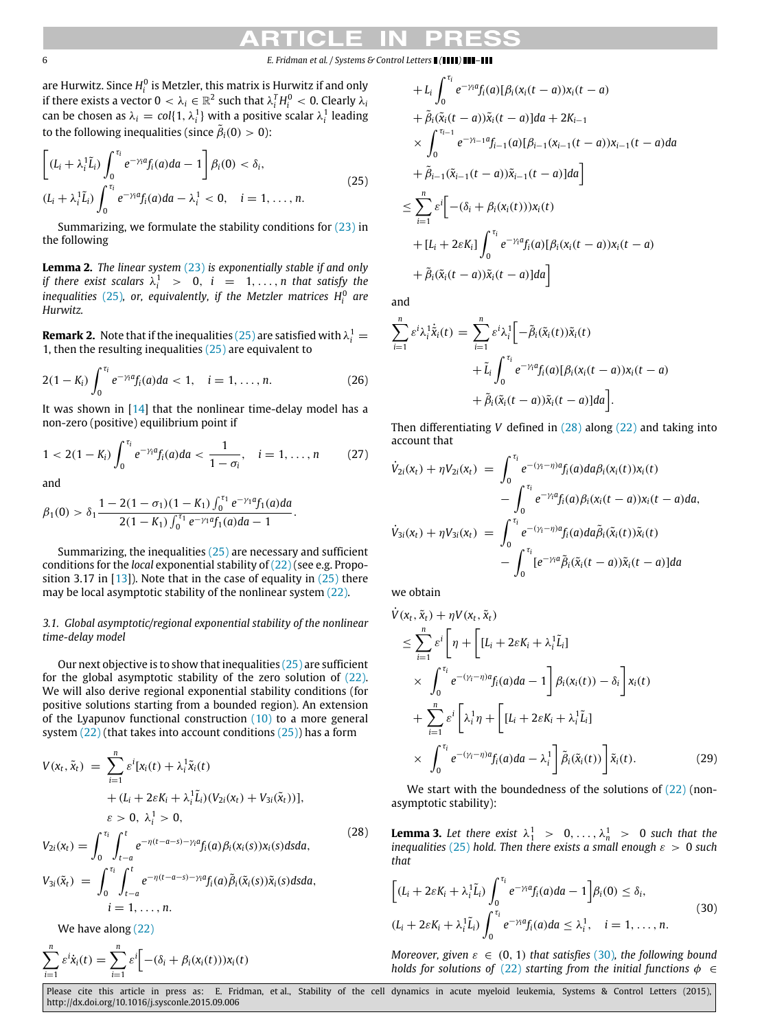are Hurwitz. Since  $H_i^0$  is Metzler, this matrix is Hurwitz if and only if there exists a vector  $0 < \lambda_i \in \mathbb{R}^2$  such that  $\lambda_i^T H_i^0 < 0$ . Clearly  $\lambda_i$ can be chosen as  $\lambda_i = col\{1, \lambda_i^1\}$  with a positive scalar  $\lambda_i^1$  leading to the following inequalities (since  $\tilde{\beta}_i(0) > 0$ ):

$$
\left[ (L_i + \lambda_i^1 \tilde{L}_i) \int_0^{\tau_i} e^{-\gamma_i a} f_i(a) da - 1 \right] \beta_i(0) < \delta_i,
$$
\n
$$
(L_i + \lambda_i^1 \tilde{L}_i) \int_0^{\tau_i} e^{-\gamma_i a} f_i(a) da - \lambda_i^1 < 0, \quad i = 1, \dots, n.
$$
\n
$$
(25)
$$

Summarizing, we formulate the stability conditions for [\(23\)](#page-4-4) in the following

**Lemma 2.** *The linear system* [\(23\)](#page-4-4) *is exponentially stable if and only if there exist scalars*  $\lambda_i^1 > 0$ ,  $i = 1, ..., n$  that satisfy the  $i$ nequalities [\(25\)](#page-5-0), or, equivalently, if the Metzler matrices  $H_i^0$  are *Hurwitz.*

**Remark 2.** Note that if the inequalities [\(25\)](#page-5-0) are satisfied with  $\lambda_i^1 =$ 1, then the resulting inequalities [\(25\)](#page-5-0) are equivalent to

$$
2(1 - K_i) \int_0^{\tau_i} e^{-\gamma_i a} f_i(a) da < 1, \quad i = 1, \dots, n. \tag{26}
$$

It was shown in  $[14]$  that the nonlinear time-delay model has a non-zero (positive) equilibrium point if

$$
1 < 2(1 - K_i) \int_0^{\tau_i} e^{-\gamma_i a} f_i(a) da < \frac{1}{1 - \sigma_i}, \quad i = 1, ..., n \qquad (27)
$$

and

$$
\beta_1(0) > \delta_1 \frac{1 - 2(1 - \sigma_1)(1 - K_1) \int_0^{\tau_1} e^{-\gamma_1 a} f_1(a) da}{2(1 - K_1) \int_0^{\tau_1} e^{-\gamma_1 a} f_1(a) da - 1}.
$$

Summarizing, the inequalities [\(25\)](#page-5-0) are necessary and sufficient conditions for the *local* exponential stability of [\(22\)](#page-4-3) (see e.g. Proposition 3.17 in  $[13]$ ). Note that in the case of equality in  $(25)$  there may be local asymptotic stability of the nonlinear system [\(22\).](#page-4-3)

# *3.1. Global asymptotic/regional exponential stability of the nonlinear time-delay model*

Our next objective is to show that inequalities  $(25)$  are sufficient for the global asymptotic stability of the zero solution of [\(22\).](#page-4-3) We will also derive regional exponential stability conditions (for positive solutions starting from a bounded region). An extension of the Lyapunov functional construction  $(10)$  to a more general system  $(22)$  (that takes into account conditions  $(25)$ ) has a form

$$
V(x_t, \tilde{x}_t) = \sum_{i=1}^n \varepsilon^i [x_i(t) + \lambda_i^1 \tilde{x}_i(t) + (L_i + 2\varepsilon K_i + \lambda_i^1 \tilde{L}_i)(V_{2i}(x_t) + V_{3i}(\tilde{x}_t))],
$$
  
\n
$$
\varepsilon > 0, \lambda_i^1 > 0,
$$
  
\n
$$
V_{2i}(x_t) = \int_0^{\tau_i} \int_{t-a}^t e^{-\eta(t-a-s) - \gamma_i a} f_i(a) \beta_i(x_i(s)) x_i(s) ds da,
$$
  
\n
$$
V_{3i}(\tilde{x}_t) = \int_0^{\tau_i} \int_{t-a}^t e^{-\eta(t-a-s) - \gamma_i a} f_i(a) \tilde{\beta}_i(\tilde{x}_i(s)) \tilde{x}_i(s) ds da,
$$
  
\n
$$
i = 1, ..., n.
$$
 (28)

We have along [\(22\)](#page-4-3)

$$
\sum_{i=1}^n \varepsilon^i \dot{x}_i(t) = \sum_{i=1}^n \varepsilon^i \Big[ -(\delta_i + \beta_i(x_i(t))) x_i(t)
$$

<span id="page-5-0"></span>+ 
$$
L_i \int_0^{\tau_i} e^{-\gamma_i a} f_i(a) [\beta_i(x_i(t-a))x_i(t-a)
$$
  
\n+  $\tilde{\beta}_i(\tilde{x}_i(t-a))\tilde{x}_i(t-a)]da + 2K_{i-1}$   
\n $\times \int_0^{\tau_{i-1}} e^{-\gamma_{i-1} a} f_{i-1}(a) [\beta_{i-1}(x_{i-1}(t-a))x_{i-1}(t-a)]da$   
\n+  $\tilde{\beta}_{i-1}(\tilde{x}_{i-1}(t-a))\tilde{x}_{i-1}(t-a)]da$   
\n $\leq \sum_{i=1}^n \varepsilon^i [-(\delta_i + \beta_i(x_i(t)))x_i(t)$   
\n+  $[L_i + 2\varepsilon K_i] \int_0^{\tau_i} e^{-\gamma_i a} f_i(a) [\beta_i(x_i(t-a))x_i(t-a)$   
\n+  $\tilde{\beta}_i(\tilde{x}_i(t-a))\tilde{x}_i(t-a)]da$ 

and

$$
\sum_{i=1}^{n} \varepsilon^{i} \lambda_{i}^{1} \dot{\tilde{x}}_{i}(t) = \sum_{i=1}^{n} \varepsilon^{i} \lambda_{i}^{1} \left[ -\tilde{\beta}_{i}(\tilde{x}_{i}(t)) \tilde{x}_{i}(t) + \tilde{L}_{i} \int_{0}^{\tau_{i}} e^{-\gamma t a} f_{i}(a) [\beta_{i}(x_{i}(t-a)) x_{i}(t-a) + \tilde{\beta}_{i}(\tilde{x}_{i}(t-a)) \tilde{x}_{i}(t-a)] da \right].
$$

Then differentiating *V* defined in [\(28\)](#page-5-1) along [\(22\)](#page-4-3) and taking into account that

$$
\dot{V}_{2i}(x_{t}) + \eta V_{2i}(x_{t}) = \int_{0}^{\tau_{i}} e^{-(\gamma_{i}-\eta) a} f_{i}(a) da \beta_{i}(x_{i}(t)) x_{i}(t) \n- \int_{0}^{\tau_{i}} e^{-\gamma_{i} a} f_{i}(a) \beta_{i}(x_{i}(t-a)) x_{i}(t-a) da, \n\dot{V}_{3i}(x_{t}) + \eta V_{3i}(x_{t}) = \int_{0}^{\tau_{i}} e^{-(\gamma_{i}-\eta) a} f_{i}(a) da \tilde{\beta}_{i}(\tilde{x}_{i}(t)) \tilde{x}_{i}(t) \n- \int_{0}^{\tau_{i}} [e^{-\gamma_{i} a} \tilde{\beta}_{i}(\tilde{x}_{i}(t-a)) \tilde{x}_{i}(t-a)] da
$$

we obtain

$$
\dot{V}(x_t, \tilde{x}_t) + \eta V(x_t, \tilde{x}_t)
$$
\n
$$
\leq \sum_{i=1}^n \varepsilon^i \left[ \eta + \left[ [L_i + 2\varepsilon K_i + \lambda_i^1 \tilde{L}_i] \right] \times \int_0^{\tau_i} e^{-(\gamma_i - \eta)a} f_i(a) da - 1 \right] \beta_i(x_i(t)) - \delta_i \left[ x_i(t) \right]
$$
\n
$$
+ \sum_{i=1}^n \varepsilon^i \left[ \lambda_i^1 \eta + \left[ [L_i + 2\varepsilon K_i + \lambda_i^1 \tilde{L}_i] \right] \times \int_0^{\tau_i} e^{-(\gamma_i - \eta)a} f_i(a) da - \lambda_i^1 \right] \tilde{\beta}_i(\tilde{x}_i(t)) \left[ \tilde{x}_i(t) \right] - \tilde{x}_i(t).
$$
\n(29)

<span id="page-5-3"></span><span id="page-5-1"></span>We start with the boundedness of the solutions of  $(22)$  (nonasymptotic stability):

<span id="page-5-4"></span>**Lemma 3.** Let there exist  $\lambda_1^1 > 0, \ldots, \lambda_n^1 > 0$  such that the *inequalities* [\(25\)](#page-5-0) *hold. Then there exists a small enough* ε > 0 *such that*

<span id="page-5-2"></span>
$$
\left[ (L_i + 2\varepsilon K_i + \lambda_i^1 \tilde{L}_i) \int_0^{\tau_i} e^{-\gamma_i a} f_i(a) da - 1 \right] \beta_i(0) \le \delta_i,
$$
  

$$
(L_i + 2\varepsilon K_i + \lambda_i^1 \tilde{L}_i) \int_0^{\tau_i} e^{-\gamma_i a} f_i(a) da \le \lambda_i^1, \quad i = 1, ..., n.
$$
 (30)

*Moreover, given*  $\varepsilon \in (0, 1)$  *that satisfies* [\(30\)](#page-5-2)*, the following bound holds for solutions of* [\(22\)](#page-4-3) *starting from the initial functions*  $\phi \in$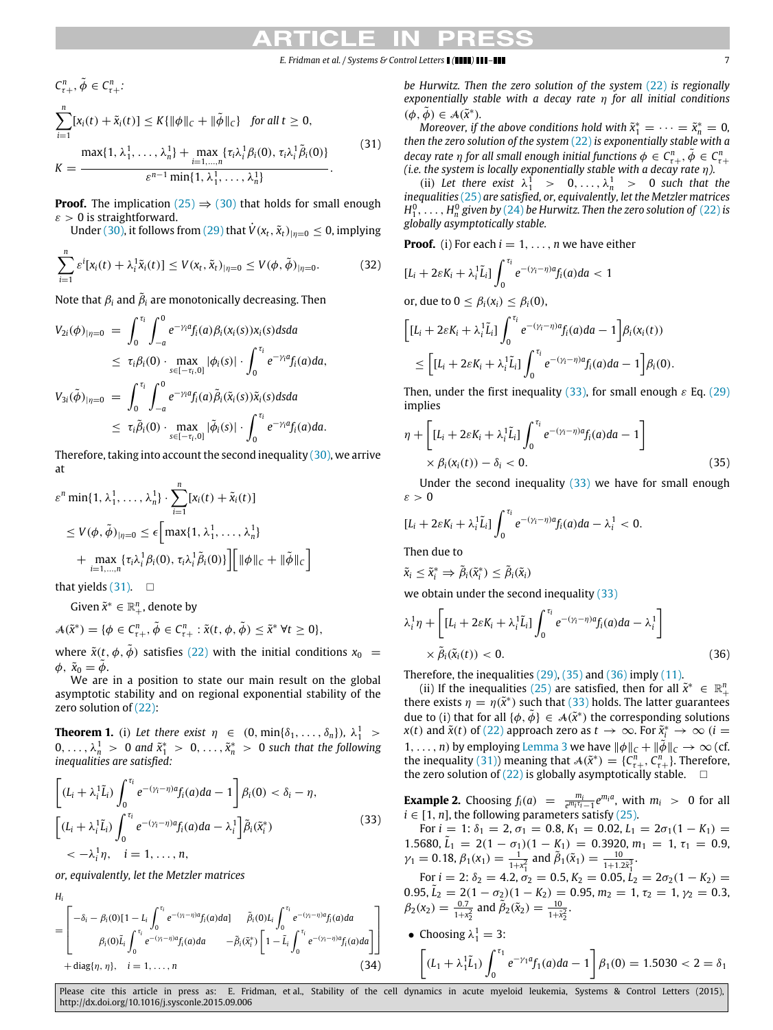$$
C_{\tau+}^{n}, \tilde{\phi} \in C_{\tau+}^{n}:
$$
\n
$$
\sum_{i=1}^{n} [x_{i}(t) + \tilde{x}_{i}(t)] \leq K \{ ||\phi||_{C} + ||\tilde{\phi}||_{C} \} \quad \text{for all } t \geq 0,
$$
\n
$$
K = \frac{\max\{1, \lambda_{1}^{1}, \dots, \lambda_{n}^{1}\} + \max_{i=1,\dots,n} \{\tau_{i}\lambda_{i}^{1}\beta_{i}(0), \tau_{i}\lambda_{i}^{1}\tilde{\beta}_{i}(0)\}}{\varepsilon^{n-1} \min\{1, \lambda_{1}^{1}, \dots, \lambda_{n}^{1}\}}.
$$
\n
$$
(31)
$$

**Proof.** The implication  $(25) \Rightarrow (30)$  $(25) \Rightarrow (30)$  $(25) \Rightarrow (30)$  that holds for small enough  $\varepsilon > 0$  is straightforward.

Under [\(30\),](#page-5-2) it follows from [\(29\)](#page-5-3) that  $\dot{V}(x_t, \tilde{x}_t)_{|\eta=0} \leq 0$ , implying

$$
\sum_{i=1}^n \varepsilon^i [x_i(t) + \lambda_i^1 \tilde{x}_i(t)] \le V(x_t, \tilde{x}_t)_{|\eta=0} \le V(\phi, \tilde{\phi})_{|\eta=0}.
$$
 (32)

Note that  $\beta_i$  and  $\tilde{\beta}_i$  are monotonically decreasing. Then

$$
V_{2i}(\phi)_{|\eta=0} = \int_0^{\tau_i} \int_{-a}^0 e^{-\gamma_i a} f_i(a) \beta_i(x_i(s)) x_i(s) dsda
$$
  
\n
$$
\leq \tau_i \beta_i(0) \cdot \max_{s \in [-\tau_i, 0]} |\phi_i(s)| \cdot \int_0^{\tau_i} e^{-\gamma_i a} f_i(a) da,
$$
  
\n
$$
V_{3i}(\tilde{\phi})_{|\eta=0} = \int_0^{\tau_i} \int_{-a}^0 e^{-\gamma_i a} f_i(a) \tilde{\beta}_i(\tilde{x}_i(s)) \tilde{x}_i(s) dsda
$$
  
\n
$$
\leq \tau_i \tilde{\beta}_i(0) \cdot \max_{s \in [-\tau_i, 0]} |\tilde{\phi}_i(s)| \cdot \int_0^{\tau_i} e^{-\gamma_i a} f_i(a) da.
$$

Therefore, taking into account the second inequality  $(30)$ , we arrive at

$$
\varepsilon^{n} \min\{1, \lambda_{1}^{1}, \ldots, \lambda_{n}^{1}\} \cdot \sum_{i=1}^{n} [x_{i}(t) + \tilde{x}_{i}(t)]
$$
\n
$$
\leq V(\phi, \tilde{\phi})_{|\eta=0} \leq \epsilon \Big[\max\{1, \lambda_{1}^{1}, \ldots, \lambda_{n}^{1}\}\Big]
$$
\n
$$
+ \max_{i=1,\ldots,n} \{\tau_{i}\lambda_{i}^{1}\beta_{i}(0), \tau_{i}\lambda_{i}^{1}\tilde{\beta}_{i}(0)\}\Big] \Big[\|\phi\|_{C} + \|\tilde{\phi}\|_{C}\Big]
$$

that yields  $(31)$ .  $\Box$ 

Given  $\tilde{x}^* \in \mathbb{R}_+^n$ , denote by

 $\mathcal{A}(\tilde{x}^*) = \{ \phi \in C_{\tau+}^n, \tilde{\phi} \in C_{\tau+}^n : \tilde{x}(t, \phi, \tilde{\phi}) \leq \tilde{x}^* \ \forall t \geq 0 \},\$ 

where  $\tilde{x}(t, \phi, \tilde{\phi})$  satisfies [\(22\)](#page-4-3) with the initial conditions  $x_0$  =  $\phi$ ,  $\tilde{x}_0 = \tilde{\phi}$ .

We are in a position to state our main result on the global asymptotic stability and on regional exponential stability of the zero solution of [\(22\):](#page-4-3)

<span id="page-6-4"></span>**Theorem 1.** (i) Let there exist  $\eta \in (0, \min\{\delta_1, \ldots, \delta_n\})$ ,  $\lambda_1^1$  $0, \ldots, \lambda_n^1 > 0$  and  $\tilde{x}_1^* > 0, \ldots, \tilde{x}_n^* > 0$  such that the following *inequalities are satisfied:*

$$
\begin{aligned}\n\left[ (L_i + \lambda_i^1 \tilde{L}_i) \int_0^{\tau_i} e^{-(\gamma_i - \eta) a} f_i(a) da - 1 \right] \beta_i(0) < \delta_i - \eta, \\
\left[ (L_i + \lambda_i^1 \tilde{L}_i) \int_0^{\tau_i} e^{-(\gamma_i - \eta) a} f_i(a) da - \lambda_i^1 \right] \tilde{\beta}_i(\tilde{x}_i^*) \\
&< -\lambda_i^1 \eta, \quad i = 1, \dots, n,\n\end{aligned} \tag{33}
$$

*or, equivalently, let the Metzler matrices*

*Hi*

$$
= \begin{bmatrix} -\delta_i - \beta_i(0)[1-L_i \int_0^{\tau_i} e^{-(\gamma_i - \eta)a} f_i(a) da] & \tilde{\beta}_i(0)L_i \int_0^{\tau_i} e^{-(\gamma_i - \eta)a} f_i(a) da \\ \beta_i(0)\tilde{L}_i \int_0^{\tau_i} e^{-(\gamma_i - \eta)a} f_i(a) da & -\tilde{\beta}_i(\tilde{x}_i^*) \left[ 1 - \tilde{L}_i \int_0^{\tau_i} e^{-(\gamma_i - \eta)a} f_i(a) da \right] \\ + \text{diag}\{\eta, \eta\}, \quad i = 1, ..., n \end{bmatrix}
$$
(34)

*be Hurwitz. Then the zero solution of the system* [\(22\)](#page-4-3) *is regionally exponentially stable with a decay rate* η *for all initial conditions*  $(\phi, \tilde{\phi}) \in \mathcal{A}(\tilde{x}^*)$ .

<span id="page-6-0"></span>*Moreover, if the above conditions hold with*  $\tilde{x}_1^* = \cdots = \tilde{x}_n^* = 0$ , *then the zero solution of the system* [\(22\)](#page-4-3) *is exponentially stable with a decay rate*  $\eta$  *for all small enough initial functions*  $\phi \in C_{\tau+}^n$ ,  $\tilde{\phi} \in C_{\tau+}^n$ *(i.e. the system is locally exponentially stable with a decay rate* η*).*

(ii) Let there exist  $\lambda_1^1 > 0, \ldots, \lambda_n^1 > 0$  such that the *inequalities* [\(25\)](#page-5-0) *are satisfied, or, equivalently, let the Metzler matrices*  $H_1^0, \ldots, H_n^0$  given by [\(24\)](#page-4-5) be Hurwitz. Then the zero solution of [\(22\)](#page-4-3) is *globally asymptotically stable.*

**Proof.** (i) For each  $i = 1, \ldots, n$  we have either

$$
[L_i+2\varepsilon K_i+\lambda_i^1\tilde{L}_i]\int_0^{\tau_i}e^{-(\gamma_i-\eta)a}f_i(a)da<1
$$

or, due to  $0 \leq \beta_i(x_i) \leq \beta_i(0)$ ,

$$
\begin{aligned}\n\left[ [L_i + 2\varepsilon K_i + \lambda_i^1 \tilde{L}_i] \int_0^{\tau_i} e^{-(\gamma_i - \eta)a} f_i(a) da - 1 \right] \beta_i(x_i(t)) \\
&\leq \left[ [L_i + 2\varepsilon K_i + \lambda_i^1 \tilde{L}_i] \int_0^{\tau_i} e^{-(\gamma_i - \eta)a} f_i(a) da - 1 \right] \beta_i(0).\n\end{aligned}
$$

Then, under the first inequality [\(33\),](#page-6-1) for small enough  $\varepsilon$  Eq. [\(29\)](#page-5-3) implies

$$
\eta + \left[ [L_i + 2\varepsilon K_i + \lambda_i^1 \tilde{L}_i] \int_0^{\tau_i} e^{-(\gamma_i - \eta)a} f_i(a) da - 1 \right] \times \beta_i(x_i(t)) - \delta_i < 0. \tag{35}
$$

<span id="page-6-2"></span>Under the second inequality  $(33)$  we have for small enough  $\varepsilon > 0$ 

$$
[L_i+2\varepsilon K_i+\lambda_i^{\dagger}\tilde{L}_i]\int_0^{\tau_i}e^{-(\gamma_i-\eta)a}f_i(a)da-\lambda_i^{\dagger}<0.
$$

Then due to

$$
\tilde{x}_i \leq \tilde{x}_i^* \Rightarrow \tilde{\beta}_i(\tilde{x}_i^*) \leq \tilde{\beta}_i(\tilde{x}_i)
$$

we obtain under the second inequality [\(33\)](#page-6-1)

<span id="page-6-3"></span>
$$
\lambda_i^1 \eta + \left[ [L_i + 2\varepsilon K_i + \lambda_i^1 \tilde{L}_i] \int_0^{\tau_i} e^{-(\gamma_i - \eta)a} f_i(a) da - \lambda_i^1 \right] \times \tilde{\beta}_i(\tilde{x}_i(t)) < 0.
$$
\n(36)

Therefore, the inequalities  $(29)$ ,  $(35)$  and  $(36)$  imply  $(11)$ .

(ii) If the inequalities [\(25\)](#page-5-0) are satisfied, then for all  $\tilde{x}^* \in \mathbb{R}_+^n$ there exists  $\eta = \eta(\tilde{x}^*)$  such that [\(33\)](#page-6-1) holds. The latter guarantees due to (i) that for all  $\{\phi, \tilde{\phi}\} \in \mathcal{A}(\tilde{x}^*)$  the corresponding solutions *x*(*t*) and  $\tilde{x}(t)$  of [\(22\)](#page-4-3) approach zero as  $t \to \infty$ . For  $\tilde{x}_i^* \to \infty$  (*i* =  $1, \ldots, n$ ) by employing [Lemma 3](#page-5-4) we have  $\|\phi\|_{C} + \|\tilde{\phi}\|_{C} \rightarrow \infty$  (cf. the inequality [\(31\)\)](#page-6-0) meaning that  $A(\tilde{x}^*) = {C_{\tau+}^n, C_{\tau+}^n}$ . Therefore, the zero solution of  $(22)$  is globally asymptotically stable.  $\square$ 

<span id="page-6-5"></span><span id="page-6-1"></span>**Example 2.** Choosing  $f_i(a) = \frac{m_i}{e^{m_i \tau_i} - 1} e^{m_i a}$ , with  $m_i > 0$  for all  $i \in [1, n]$ , the following parameters satisfy  $(25)$ .

For  $i = 1$ :  $\delta_1 = 2$ ,  $\sigma_1 = 0.8$ ,  $K_1 = 0.02$ ,  $L_1 = 2\sigma_1(1 - K_1)$ 1.5680,  $\tilde{L}_1 = 2(1 - \sigma_1)(1 - K_1) = 0.3920$ ,  $m_1 = 1$ ,  $\tau_1 = 0.9$ ,  $\gamma_1 = 0.18$ ,  $\beta_1(x_1) = \frac{1}{1+x_1^2}$  and  $\tilde{\beta}_1(\tilde{x}_1) = \frac{10}{1+1.2\tilde{x}_1^3}$ For  $i = 2$ :  $\delta_2 = 4.2$ ,  $\sigma_2 = 0.5$ ,  $K_2 = 0.05$ ,  $\dot{L}_2 = 2\sigma_2(1 - K_2) =$  $0.95, \tilde{L}_2 = 2(1 - \sigma_2)(1 - K_2) = 0.95, m_2 = 1, \tau_2 = 1, \gamma_2 = 0.3,$  $\beta_2(x_2) = \frac{0.7}{1+x_2^2}$  and  $\tilde{\beta}_2(\tilde{x}_2) = \frac{10}{1+\tilde{x}_2^2}$ .

• Choosing 
$$
\lambda_1^1 = 3
$$
:  
\n
$$
\left[ (L_1 + \lambda_1^1 \tilde{L}_1) \int_0^{\tau_1} e^{-\gamma_1 a} f_1(a) da - 1 \right] \beta_1(0) = 1.5030 < 2 = \delta_1
$$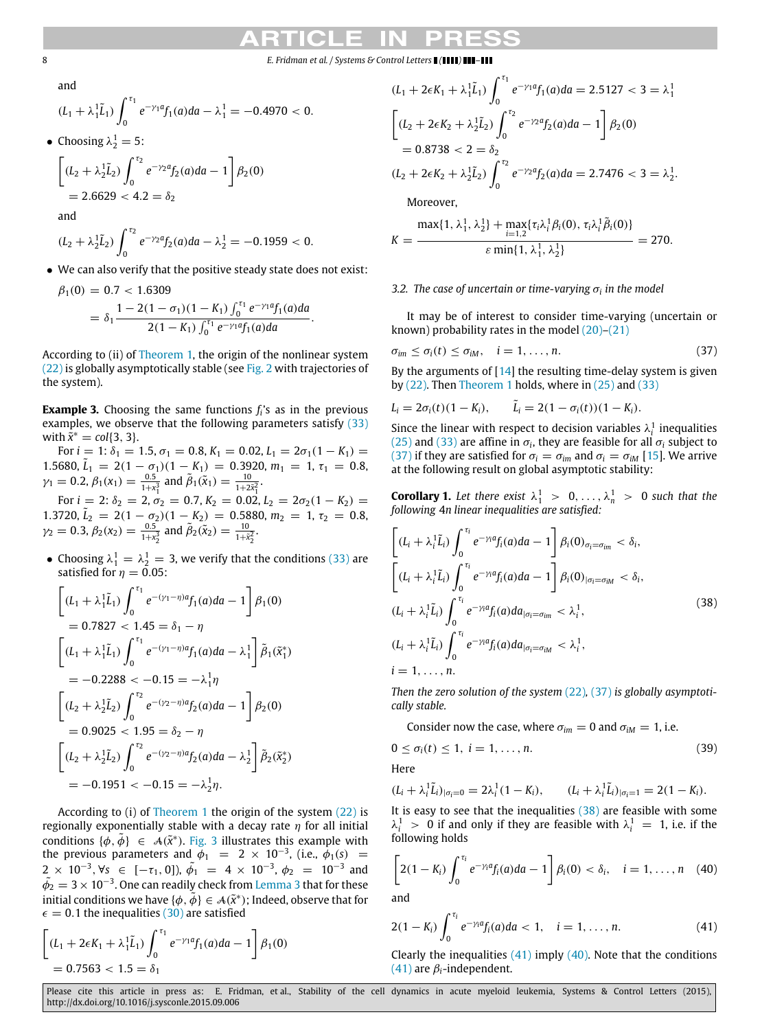and  
\n
$$
(L_1 + \lambda_1^1 \tilde{L}_1) \int_0^{\tau_1} e^{-\gamma_1 a} f_1(a) da - \lambda_1^1 = -0.4970 < 0.
$$
\n• Choosing  $\lambda_2^1 = 5$ :  
\n
$$
\left[ (L_2 + \lambda_2^1 \tilde{L}_2) \int_0^{\tau_2} e^{-\gamma_2 a} f_2(a) da - 1 \right] \beta_2(0)
$$
\n
$$
= 2.6629 < 4.2 = \delta_2
$$
\nand\n
$$
\int_0^{\tau_2} e^{-\gamma_2 a} f_2(a) da
$$

$$
(L_2 + \lambda_2^1 \tilde{L}_2) \int_0^{\tau_2} e^{-\gamma_2 a} f_2(a) da - \lambda_2^1 = -0.1959 < 0.
$$

• We can also verify that the positive steady state does not exist:

.

$$
\beta_1(0) = 0.7 < 1.6309
$$
\n
$$
= \delta_1 \frac{1 - 2(1 - \sigma_1)(1 - K_1) \int_0^{\tau_1} e^{-\gamma_1 a} f_1(a) da}{2(1 - K_1) \int_0^{\tau_1} e^{-\gamma_1 a} f_1(a) da}
$$

According to (ii) of [Theorem 1,](#page-6-4) the origin of the nonlinear system [\(22\)](#page-4-3) is globally asymptotically stable (see [Fig. 2](#page-8-1) with trajectories of the system).

<span id="page-7-4"></span>**Example 3.** Choosing the same functions *f<sup>i</sup>* 's as in the previous examples, we observe that the following parameters satisfy  $(33)$ with  $\hat{\tilde{x}}^* = \text{col}\{3, 3\}.$ 

For  $i = 1$ :  $\delta_1 = 1.5$ ,  $\sigma_1 = 0.8$ ,  $K_1 = 0.02$ ,  $L_1 = 2\sigma_1(1 - K_1)$ 1.5680,  $\tilde{L}_1 = 2(1 - \sigma_1)(1 - K_1) = 0.3920$ ,  $m_1 = 1$ ,  $\tau_1 = 0.8$ ,  $\gamma_1 = 0.2, \beta_1(x_1) = \frac{0.5^3}{1 + x_1^3}$  and  $\tilde{\beta}_1(\tilde{x}_1) = \frac{10}{1 + 2\tilde{x}_1^2}$ .

For  $i = 2$ :  $\delta_2 = 2$ ,  $\sigma_2 = 0.7$ ,  $K_2 = 0.02$ ,  $L_2 = 2\sigma_2(1 - K_2)$ 1.3720,  $\tilde{L}_2 = 2(1 - \sigma_2)(1 - K_2) = 0.5880$ ,  $m_2 = 1$ ,  $\tau_2 = 0.8$ ,  $\gamma_2 = 0.3, \beta_2(x_2) = \frac{0.5}{1 + x_2^3}$  and  $\tilde{\beta}_2(\tilde{x}_2) = \frac{10}{1 + \tilde{x}_2^2}$ .

• Choosing  $\lambda_1^1 = \lambda_2^1 = 3$ , we verify that the conditions [\(33\)](#page-6-1) are satisfied for  $\eta = 0.05$ :

$$
\begin{aligned}\n\left[ (L_1 + \lambda_1^1 \tilde{L}_1) \int_0^{\tau_1} e^{-(\gamma_1 - \eta)a} f_1(a) da - 1 \right] \beta_1(0) \\
&= 0.7827 < 1.45 = \delta_1 - \eta \\
\left[ (L_1 + \lambda_1^1 \tilde{L}_1) \int_0^{\tau_1} e^{-(\gamma_1 - \eta)a} f_1(a) da - \lambda_1^1 \right] \tilde{\beta}_1(\tilde{x}_1^*) \\
&= -0.2288 < -0.15 = -\lambda_1^1 \eta \\
\left[ (L_2 + \lambda_2^1 \tilde{L}_2) \int_0^{\tau_2} e^{-(\gamma_2 - \eta)a} f_2(a) da - 1 \right] \beta_2(0) \\
&= 0.9025 < 1.95 = \delta_2 - \eta \\
\left[ (L_2 + \lambda_2^1 \tilde{L}_2) \int_0^{\tau_2} e^{-(\gamma_2 - \eta)a} f_2(a) da - \lambda_2^1 \right] \tilde{\beta}_2(\tilde{x}_2^*) \\
&= -0.1951 < -0.15 = -\lambda_2^1 \eta.\n\end{aligned}
$$

According to (i) of [Theorem 1](#page-6-4) the origin of the system [\(22\)](#page-4-3) is regionally exponentially stable with a decay rate  $\eta$  for all initial conditions  $\{\phi, \tilde{\phi}\} \in \mathcal{A}(\tilde{x}^*)$ . [Fig. 3](#page-8-2) illustrates this example with the previous parameters and  $\dot{\phi}_1$  = 2 × 10<sup>-3</sup>, (i.e.,  $\dot{\phi}_1$ (s) =  $2 \times 10^{-3}$ ,  $\forall s \in [-\tau_1, 0]$ ),  $\tilde{\phi}_1 = 4 \times 10^{-3}$ ,  $\phi_2 = 10^{-3}$  and  $\tilde{\phi_2} = 3 \times 10^{-3}$ . One can readily check from [Lemma 3](#page-5-4) that for these initial conditions we have  $\{\phi, \tilde{\phi}\} \in \mathcal{A}(\tilde{x}^*)$ ; Indeed, observe that for  $\epsilon = 0.1$  the inequalities [\(30\)](#page-5-2) are satisfied

$$
\[ (L_1 + 2\epsilon K_1 + \lambda_1^1 \tilde{L}_1) \int_0^{\tau_1} e^{-\gamma_1 a} f_1(a) da - 1 \] \beta_1(0)
$$
  
= 0.7563 < 1.5 =  $\delta_1$ 

$$
(L_1 + 2\epsilon K_1 + \lambda_1^1 \tilde{L}_1) \int_0^{\tau_1} e^{-\gamma_1 a} f_1(a) da = 2.5127 < 3 = \lambda_1^1
$$
  
\n
$$
\left[ (L_2 + 2\epsilon K_2 + \lambda_2^1 \tilde{L}_2) \int_0^{\tau_2} e^{-\gamma_2 a} f_2(a) da - 1 \right] \beta_2(0)
$$
  
\n= 0.8738 < 2 = \delta\_2  
\n
$$
(L_2 + 2\epsilon K_2 + \lambda_2^1 \tilde{L}_2) \int_0^{\tau_2} e^{-\gamma_2 a} f_2(a) da = 2.7476 < 3 = \lambda_2^1.
$$
  
\nMoreover,

$$
K = \frac{\max\{1, \lambda_1^1, \lambda_2^1\} + \max_{i=1,2} \{\tau_i \lambda_i^1 \beta_i(0), \tau_i \lambda_i^1 \tilde{\beta}_i(0)\}}{\varepsilon \min\{1, \lambda_1^1, \lambda_2^1\}} = 270.
$$

# *3.2. The case of uncertain or time-varying* σ*<sup>i</sup> in the model*

<span id="page-7-0"></span>It may be of interest to consider time-varying (uncertain or known) probability rates in the model  $(20)$ – $(21)$ 

$$
\sigma_{im} \leq \sigma_i(t) \leq \sigma_{iM}, \quad i = 1, \dots, n. \tag{37}
$$

By the arguments of  $[14]$  the resulting time-delay system is given by  $(22)$ . Then [Theorem 1](#page-6-4) holds, where in  $(25)$  and  $(33)$ 

 $L_i = 2\sigma_i(t)(1 - K_i),$  $\tilde{L}_i = 2(1 - \sigma_i(t))(1 - K_i).$ 

Since the linear with respect to decision variables  $\lambda_i^1$  inequalities [\(25\)](#page-5-0) and [\(33\)](#page-6-1) are affine in  $\sigma_i$ , they are feasible for all  $\sigma_i$  subject to [\(37\)](#page-7-0) if they are satisfied for  $\sigma_i = \sigma_{im}$  and  $\sigma_i = \sigma_{iM}$  [\[15\]](#page-9-12). We arrive at the following result on global asymptotic stability:

<span id="page-7-6"></span>**Corollary 1.** Let there exist  $\lambda_1^1 > 0, \ldots, \lambda_n^1 > 0$  such that the *following* 4*n linear inequalities are satisfied:*

<span id="page-7-1"></span>
$$
\left[ (L_{i} + \lambda_{i}^{1} \tilde{L}_{i}) \int_{0}^{\tau_{i}} e^{-\gamma_{i} a} f_{i}(a) da - 1 \right] \beta_{i}(0)_{\sigma_{i} = \sigma_{im}} < \delta_{i},
$$
\n
$$
\left[ (L_{i} + \lambda_{i}^{1} \tilde{L}_{i}) \int_{0}^{\tau_{i}} e^{-\gamma_{i} a} f_{i}(a) da - 1 \right] \beta_{i}(0)_{|\sigma_{i} = \sigma_{im}} < \delta_{i},
$$
\n
$$
(L_{i} + \lambda_{i}^{1} \tilde{L}_{i}) \int_{0}^{\tau_{i}} e^{-\gamma_{i} a} f_{i}(a) da_{|\sigma_{i} = \sigma_{im}} < \lambda_{i}^{1},
$$
\n
$$
(L_{i} + \lambda_{i}^{1} \tilde{L}_{i}) \int_{0}^{\tau_{i}} e^{-\gamma_{i} a} f_{i}(a) da_{|\sigma_{i} = \sigma_{im}} < \lambda_{i}^{1},
$$
\n
$$
i = 1, ..., n.
$$
\n(38)

*Then the zero solution of the system* [\(22\)](#page-4-3)*,* [\(37\)](#page-7-0) *is globally asymptotically stable.*

<span id="page-7-5"></span>Consider now the case, where  $\sigma_{im} = 0$  and  $\sigma_{iM} = 1$ , i.e.

$$
0 \leq \sigma_i(t) \leq 1, \ i = 1, \ldots, n. \tag{39}
$$

Here

$$
(L_i + \lambda_i^1 \tilde{L}_i)_{|\sigma_i = 0} = 2\lambda_i^1 (1 - K_i), \qquad (L_i + \lambda_i^1 \tilde{L}_i)_{|\sigma_i = 1} = 2(1 - K_i).
$$

It is easy to see that the inequalities [\(38\)](#page-7-1) are feasible with some  $\lambda_i^1 > 0$  if and only if they are feasible with  $\lambda_i^1 = 1$ , i.e. if the following holds

<span id="page-7-3"></span>
$$
\[2(1-K_i)\int_0^{\tau_i}e^{-\gamma_i a}f_i(a)da-1\]\beta_i(0)<\delta_i,\quad i=1,\ldots,n\quad (40)
$$

and

<span id="page-7-2"></span>
$$
2(1 - K_i) \int_0^{\tau_i} e^{-\gamma_i a} f_i(a) da < 1, \quad i = 1, \dots, n. \tag{41}
$$

Clearly the inequalities  $(41)$  imply  $(40)$ . Note that the conditions [\(41\)](#page-7-2) are  $\beta_i$ -independent.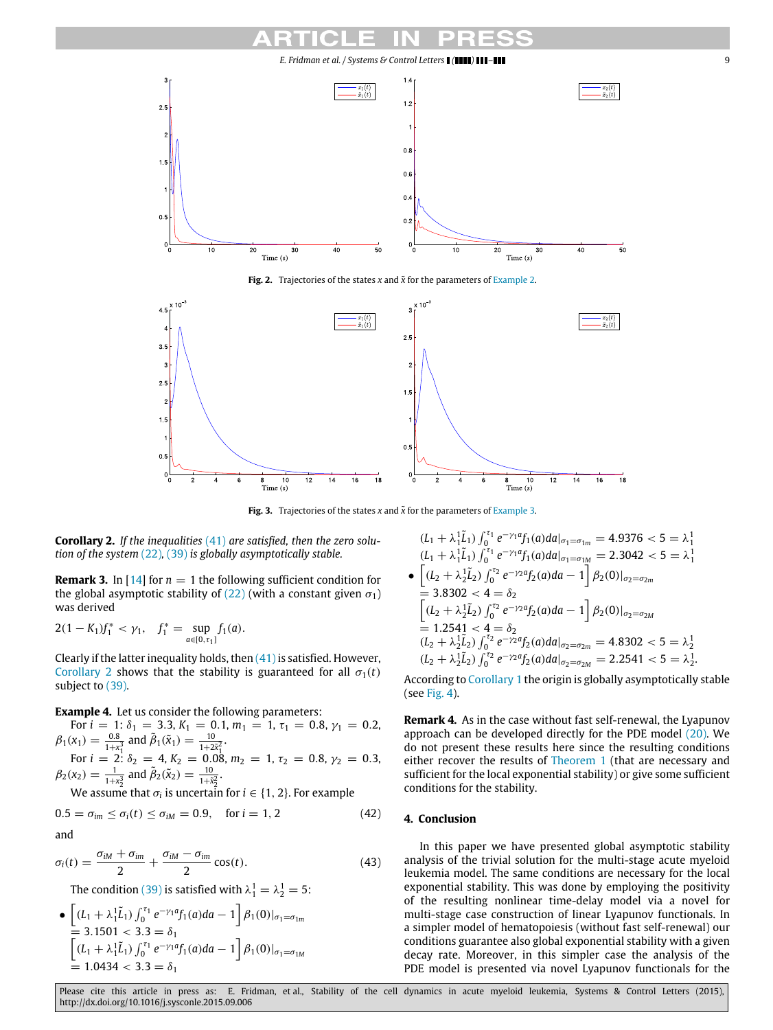*E. Fridman et al. / Systems & Control Letters ( ) –* 9

<span id="page-8-1"></span>

**Fig. 2.** Trajectories of the states  $x$  and  $\tilde{x}$  for the parameters of [Example 2.](#page-6-5)

<span id="page-8-2"></span>

**Fig. 3.** Trajectories of the states  $x$  and  $\tilde{x}$  for the parameters of [Example 3.](#page-7-4)

<span id="page-8-3"></span>**Corollary 2.** *If the inequalities* [\(41\)](#page-7-2) *are satisfied, then the zero solution of the system* [\(22\)](#page-4-3)*,* [\(39\)](#page-7-5) *is globally asymptotically stable.*

**Remark 3.** In [\[14\]](#page-9-11) for  $n = 1$  the following sufficient condition for the global asymptotic stability of [\(22\)](#page-4-3) (with a constant given  $\sigma_1$ ) was derived

$$
2(1-K_1)f_1^* < \gamma_1, \quad f_1^* = \sup_{a \in [0,\tau_1]} f_1(a).
$$

Clearly if the latter inequality holds, then  $(41)$  is satisfied. However, [Corollary 2](#page-8-3) shows that the stability is guaranteed for all  $\sigma_1(t)$ subject to [\(39\).](#page-7-5)

<span id="page-8-4"></span>**Example 4.** Let us consider the following parameters:

For  $i = 1$ :  $\delta_1 = 3.3$ ,  $K_1 = 0.1$ ,  $m_1 = 1$ ,  $\tau_1 = 0.8$ ,  $\gamma_1 = 0.2$ ,  $\beta_1(x_1) = \frac{0.8}{1+x_1^3}$  and  $\tilde{\beta}_1(\tilde{x}_1) = \frac{10}{1+2\tilde{x}_1^2}$ . For  $i = 2: \delta_2 = 4, K_2 = 0.08, m_2 = 1, \tau_2 = 0.8, \gamma_2 = 0.3,$ 

 $\beta_2(x_2) = \frac{1}{1+x_2^3}$  and  $\tilde{\beta}_2(\tilde{x}_2) = \frac{10}{1+x_2^2}$ . We assume that  $\sigma_i$  is uncertain for  $i\in\{1,2\}$ . For example

$$
0.5 = \sigma_{im} \le \sigma_i(t) \le \sigma_{iM} = 0.9, \quad \text{for } i = 1, 2 \tag{42}
$$

$$
\sigma_i(t) = \frac{\sigma_{iM} + \sigma_{im}}{2} + \frac{\sigma_{iM} - \sigma_{im}}{2} \cos(t). \tag{43}
$$

The condition [\(39\)](#page-7-5) is satisfied with  $\lambda_1^1 = \lambda_2^1 = 5$ :

$$
\begin{aligned}\n\bullet \left[ (L_1 + \lambda_1^1 \tilde{L}_1) \int_0^{\tau_1} e^{-\gamma_1 a} f_1(a) da - 1 \right] \beta_1(0) |_{\sigma_1 = \sigma_{1m}} \\
= 3.1501 < 3.3 = \delta_1 \\
\left[ (L_1 + \lambda_1^1 \tilde{L}_1) \int_0^{\tau_1} e^{-\gamma_1 a} f_1(a) da - 1 \right] \beta_1(0) |_{\sigma_1 = \sigma_{1M}} \\
= 1.0434 < 3.3 = \delta_1\n\end{aligned}
$$

 $(L_1 + \lambda_1^1 \tilde{L}_1) \int_0^{\tau_1} e^{-\gamma_1 a} f_1(a) da|_{\sigma_1 = \sigma_{1m}} = 4.9376 < 5 = \lambda_1^1$  $(L_1 + \lambda_1^1 \tilde{L}_1) \int_0^{\tau_1} e^{-\gamma_1 a} f_1(a) da|_{\sigma_1 = \sigma_{1M}} = 2.3042 < 5 = \lambda_1^1$  $\int (L_2 + \lambda_2^1 \tilde{L}_2) \int_0^{\tau_2} e^{-\gamma_2 a} f_2(a) da - 1 \bigg] \beta_2(0)|_{\sigma_2 = \sigma_{2m}}$  $\bar{=}$ ſ 3.8302  $<$  4  $=$   $\delta_2$  $\int_{0}^{\tau_2} e^{-\gamma_2 a} f_2(a) da - 1 \bigg] \beta_2(0) |_{\sigma_2 = \sigma_{2M}}$  $= 1.2541 < 4 = \delta_2$  $(L_2 + \lambda_2^1 \tilde{L}_2) \int_0^{\tau_2} e^{-\gamma_2 a} f_2(a) da |_{\sigma_2 = \sigma_{2m}} = 4.8302 < 5 = \lambda_2^1$  $(L_2 + \lambda_2^1 \tilde{L}_2) \int_0^{\tau_2} e^{-\gamma_2 a} f_2(a) da|_{\sigma_2 = \sigma_{2M}} = 2.2541 < 5 = \lambda_2^1$ .

According to [Corollary 1](#page-7-6) the origin is globally asymptotically stable (see [Fig. 4\)](#page-9-13).

**Remark 4.** As in the case without fast self-renewal, the Lyapunov approach can be developed directly for the PDE model [\(20\).](#page-4-1) We do not present these results here since the resulting conditions either recover the results of [Theorem 1](#page-6-4) (that are necessary and sufficient for the local exponential stability) or give some sufficient conditions for the stability.

# <span id="page-8-0"></span>**4. Conclusion**

In this paper we have presented global asymptotic stability analysis of the trivial solution for the multi-stage acute myeloid leukemia model. The same conditions are necessary for the local exponential stability. This was done by employing the positivity of the resulting nonlinear time-delay model via a novel for multi-stage case construction of linear Lyapunov functionals. In a simpler model of hematopoiesis (without fast self-renewal) our conditions guarantee also global exponential stability with a given decay rate. Moreover, in this simpler case the analysis of the PDE model is presented via novel Lyapunov functionals for the